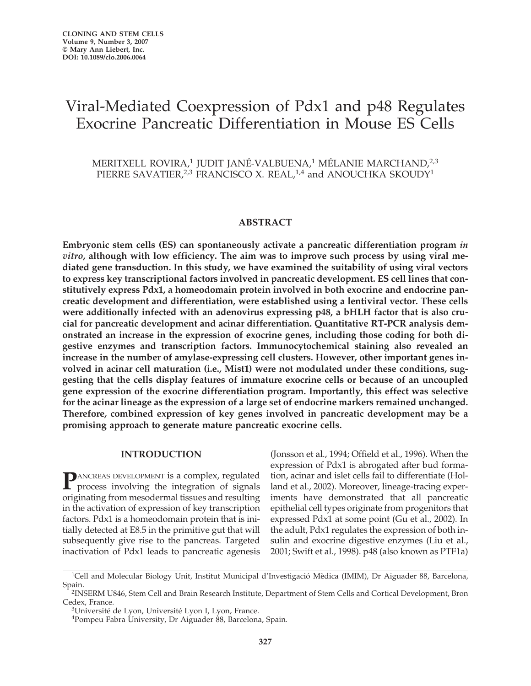# Viral-Mediated Coexpression of Pdx1 and p48 Regulates Exocrine Pancreatic Differentiation in Mouse ES Cells

MERITXELL ROVIRA,<sup>1</sup> JUDIT JANÉ-VALBUENA,<sup>1</sup> MÉLANIE MARCHAND,<sup>2,3</sup> PIERRE SAVATIER,<sup>2,3</sup> FRANCISCO X. REAL,<sup>1,4</sup> and ANOUCHKA SKOUDY<sup>1</sup>

#### **ABSTRACT**

**Embryonic stem cells (ES) can spontaneously activate a pancreatic differentiation program** *in vitro***, although with low efficiency. The aim was to improve such process by using viral mediated gene transduction. In this study, we have examined the suitability of using viral vectors to express key transcriptional factors involved in pancreatic development. ES cell lines that constitutively express Pdx1, a homeodomain protein involved in both exocrine and endocrine pancreatic development and differentiation, were established using a lentiviral vector. These cells were additionally infected with an adenovirus expressing p48, a bHLH factor that is also crucial for pancreatic development and acinar differentiation. Quantitative RT-PCR analysis demonstrated an increase in the expression of exocrine genes, including those coding for both digestive enzymes and transcription factors. Immunocytochemical staining also revealed an increase in the number of amylase-expressing cell clusters. However, other important genes involved in acinar cell maturation (i.e., Mist1) were not modulated under these conditions, suggesting that the cells display features of immature exocrine cells or because of an uncoupled gene expression of the exocrine differentiation program. Importantly, this effect was selective for the acinar lineage as the expression of a large set of endocrine markers remained unchanged. Therefore, combined expression of key genes involved in pancreatic development may be a promising approach to generate mature pancreatic exocrine cells.**

#### **INTRODUCTION**

**P**ANCREAS DEVELOPMENT is a complex, regulated<br>process involving the integration of signals originating from mesodermal tissues and resulting in the activation of expression of key transcription factors. Pdx1 is a homeodomain protein that is initially detected at E8.5 in the primitive gut that will subsequently give rise to the pancreas. Targeted inactivation of Pdx1 leads to pancreatic agenesis

(Jonsson et al., 1994; Offield et al., 1996). When the expression of Pdx1 is abrogated after bud formation, acinar and islet cells fail to differentiate (Holland et al., 2002). Moreover, lineage-tracing experiments have demonstrated that all pancreatic epithelial cell types originate from progenitors that expressed Pdx1 at some point (Gu et al., 2002). In the adult, Pdx1 regulates the expression of both insulin and exocrine digestive enzymes (Liu et al., 2001; Swift et al., 1998). p48 (also known as PTF1a)

<sup>&</sup>lt;sup>1</sup>Cell and Molecular Biology Unit, Institut Municipal d'Investigació Mèdica (IMIM), Dr Aiguader 88, Barcelona, Spain.

<sup>&</sup>lt;sup>2</sup>INSERM U846, Stem Cell and Brain Research Institute, Department of Stem Cells and Cortical Development, Bron Cedex, France.

<sup>&</sup>lt;sup>3</sup>Université de Lyon, Université Lyon I, Lyon, France.

<sup>4</sup>Pompeu Fabra University, Dr Aiguader 88, Barcelona, Spain.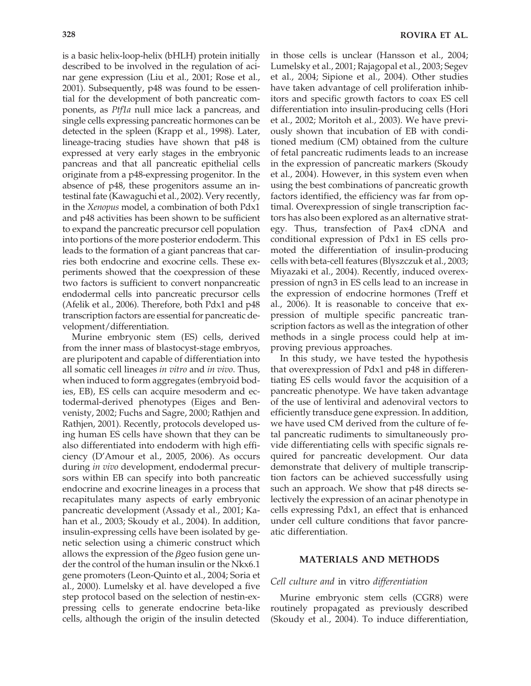is a basic helix-loop-helix (bHLH) protein initially described to be involved in the regulation of acinar gene expression (Liu et al., 2001; Rose et al., 2001). Subsequently, p48 was found to be essential for the development of both pancreatic components, as *Ptf1a* null mice lack a pancreas, and single cells expressing pancreatic hormones can be detected in the spleen (Krapp et al., 1998). Later, lineage-tracing studies have shown that p48 is expressed at very early stages in the embryonic pancreas and that all pancreatic epithelial cells originate from a p48-expressing progenitor. In the absence of p48, these progenitors assume an intestinal fate (Kawaguchi et al., 2002). Very recently, in the *Xenopus* model, a combination of both Pdx1 and p48 activities has been shown to be sufficient to expand the pancreatic precursor cell population into portions of the more posterior endoderm. This leads to the formation of a giant pancreas that carries both endocrine and exocrine cells. These experiments showed that the coexpression of these two factors is sufficient to convert nonpancreatic endodermal cells into pancreatic precursor cells (Afelik et al., 2006). Therefore, both Pdx1 and p48 transcription factors are essential for pancreatic development/differentiation.

Murine embryonic stem (ES) cells, derived from the inner mass of blastocyst-stage embryos, are pluripotent and capable of differentiation into all somatic cell lineages *in vitro* and *in vivo*. Thus, when induced to form aggregates (embryoid bodies, EB), ES cells can acquire mesoderm and ectodermal-derived phenotypes (Eiges and Benvenisty, 2002; Fuchs and Sagre, 2000; Rathjen and Rathjen, 2001). Recently, protocols developed using human ES cells have shown that they can be also differentiated into endoderm with high efficiency (D'Amour et al., 2005, 2006). As occurs during *in vivo* development, endodermal precursors within EB can specify into both pancreatic endocrine and exocrine lineages in a process that recapitulates many aspects of early embryonic pancreatic development (Assady et al., 2001; Kahan et al., 2003; Skoudy et al., 2004). In addition, insulin-expressing cells have been isolated by genetic selection using a chimeric construct which allows the expression of the *β*geo fusion gene under the control of the human insulin or the Nkx6.1 gene promoters (Leon-Quinto et al., 2004; Soria et al., 2000). Lumelsky et al. have developed a five step protocol based on the selection of nestin-expressing cells to generate endocrine beta-like cells, although the origin of the insulin detected

in those cells is unclear (Hansson et al., 2004; Lumelsky et al., 2001; Rajagopal et al., 2003; Segev et al., 2004; Sipione et al., 2004). Other studies have taken advantage of cell proliferation inhibitors and specific growth factors to coax ES cell differentiation into insulin-producing cells (Hori et al., 2002; Moritoh et al., 2003). We have previously shown that incubation of EB with conditioned medium (CM) obtained from the culture of fetal pancreatic rudiments leads to an increase in the expression of pancreatic markers (Skoudy et al., 2004). However, in this system even when using the best combinations of pancreatic growth factors identified, the efficiency was far from optimal. Overexpression of single transcription factors has also been explored as an alternative strategy. Thus, transfection of Pax4 cDNA and conditional expression of Pdx1 in ES cells promoted the differentiation of insulin-producing cells with beta-cell features (Blyszczuk et al., 2003; Miyazaki et al., 2004). Recently, induced overexpression of ngn3 in ES cells lead to an increase in the expression of endocrine hormones (Treff et al., 2006). It is reasonable to conceive that expression of multiple specific pancreatic transcription factors as well as the integration of other methods in a single process could help at improving previous approaches.

In this study, we have tested the hypothesis that overexpression of Pdx1 and p48 in differentiating ES cells would favor the acquisition of a pancreatic phenotype. We have taken advantage of the use of lentiviral and adenoviral vectors to efficiently transduce gene expression. In addition, we have used CM derived from the culture of fetal pancreatic rudiments to simultaneously provide differentiating cells with specific signals required for pancreatic development. Our data demonstrate that delivery of multiple transcription factors can be achieved successfully using such an approach. We show that p48 directs selectively the expression of an acinar phenotype in cells expressing Pdx1, an effect that is enhanced under cell culture conditions that favor pancreatic differentiation.

## **MATERIALS AND METHODS**

#### *Cell culture and* in vitro *differentiation*

Murine embryonic stem cells (CGR8) were routinely propagated as previously described (Skoudy et al., 2004). To induce differentiation,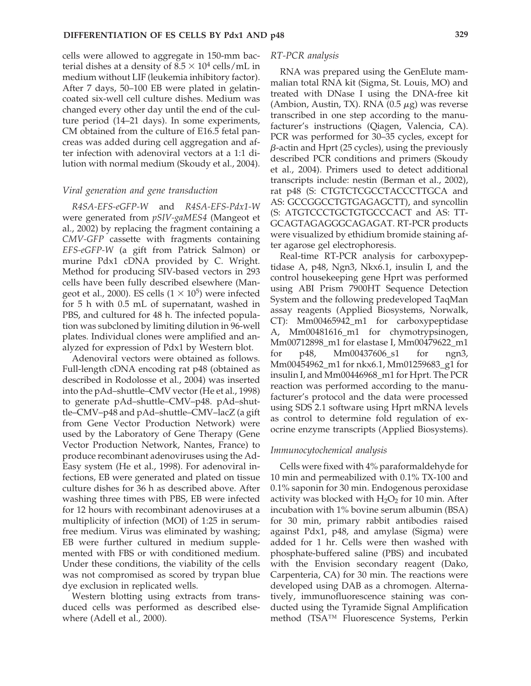cells were allowed to aggregate in 150-mm bacterial dishes at a density of  $8.5 \times 10^4$  cells/mL in medium without LIF (leukemia inhibitory factor). After 7 days, 50–100 EB were plated in gelatincoated six-well cell culture dishes. Medium was changed every other day until the end of the culture period (14–21 days). In some experiments, CM obtained from the culture of E16.5 fetal pancreas was added during cell aggregation and after infection with adenoviral vectors at a 1:1 dilution with normal medium (Skoudy et al., 2004).

## *Viral generation and gene transduction*

*R4SA-EFS-eGFP-W* and *R4SA-EFS-Pdx1-W* were generated from *pSIV-gaMES4* (Mangeot et al., 2002) by replacing the fragment containing a *CMV-GFP* cassette with fragments containing *EFS-eGFP-W* (a gift from Patrick Salmon) or murine Pdx1 cDNA provided by C. Wright. Method for producing SIV-based vectors in 293 cells have been fully described elsewhere (Mangeot et al., 2000). ES cells  $(1 \times 10^5)$  were infected for 5 h with 0.5 mL of supernatant, washed in PBS, and cultured for 48 h. The infected population was subcloned by limiting dilution in 96-well plates. Individual clones were amplified and analyzed for expression of Pdx1 by Western blot.

Adenoviral vectors were obtained as follows. Full-length cDNA encoding rat p48 (obtained as described in Rodolosse et al., 2004) was inserted into the pAd–shuttle–CMV vector (He et al., 1998) to generate pAd–shuttle–CMV–p48. pAd–shuttle–CMV–p48 and pAd–shuttle–CMV–lacZ (a gift from Gene Vector Production Network) were used by the Laboratory of Gene Therapy (Gene Vector Production Network, Nantes, France) to produce recombinant adenoviruses using the Ad-Easy system (He et al., 1998). For adenoviral infections, EB were generated and plated on tissue culture dishes for 36 h as described above. After washing three times with PBS, EB were infected for 12 hours with recombinant adenoviruses at a multiplicity of infection (MOI) of 1:25 in serumfree medium. Virus was eliminated by washing; EB were further cultured in medium supplemented with FBS or with conditioned medium. Under these conditions, the viability of the cells was not compromised as scored by trypan blue dye exclusion in replicated wells.

Western blotting using extracts from transduced cells was performed as described elsewhere (Adell et al., 2000).

#### *RT-PCR analysis*

RNA was prepared using the GenElute mammalian total RNA kit (Sigma, St. Louis, MO) and treated with DNase I using the DNA-free kit (Ambion, Austin, TX). RNA  $(0.5 \mu g)$  was reverse transcribed in one step according to the manufacturer's instructions (Qiagen, Valencia, CA). PCR was performed for 30–35 cycles, except for *-*-actin and Hprt (25 cycles), using the previously described PCR conditions and primers (Skoudy et al., 2004). Primers used to detect additional transcripts include: nestin (Berman et al., 2002), rat p48 (S: CTGTCTCGCCTACCCTTGCA and AS: GCCGGCCTGTGAGAGCTT), and syncollin (S: ATGTCCCTGCTGTGCCCACT and AS: TT-GCAGTAGAGGGCAGAGAT. RT-PCR products were visualized by ethidium bromide staining after agarose gel electrophoresis.

Real-time RT-PCR analysis for carboxypeptidase A, p48, Ngn3, Nkx6.1, insulin I, and the control housekeeping gene Hprt was performed using ABI Prism 7900HT Sequence Detection System and the following predeveloped TaqMan assay reagents (Applied Biosystems, Norwalk, CT): Mm00465942\_m1 for carboxypeptidase A, Mm00481616\_m1 for chymotrypsinogen, Mm00712898\_m1 for elastase I, Mm00479622\_m1 for p48, Mm00437606 s1 for ngn3, Mm00454962\_m1 for nkx6.1, Mm01259683\_g1 for insulin I, and Mm00446968\_m1 for Hprt. The PCR reaction was performed according to the manufacturer's protocol and the data were processed using SDS 2.1 software using Hprt mRNA levels as control to determine fold regulation of exocrine enzyme transcripts (Applied Biosystems).

#### *Immunocytochemical analysis*

Cells were fixed with 4% paraformaldehyde for 10 min and permeabilized with 0.1% TX-100 and 0.1% saponin for 30 min. Endogenous peroxidase activity was blocked with  $H_2O_2$  for 10 min. After incubation with 1% bovine serum albumin (BSA) for 30 min, primary rabbit antibodies raised against Pdx1, p48, and amylase (Sigma) were added for 1 hr. Cells were then washed with phosphate-buffered saline (PBS) and incubated with the Envision secondary reagent (Dako, Carpenteria, CA) for 30 min. The reactions were developed using DAB as a chromogen. Alternatively, immunofluorescence staining was conducted using the Tyramide Signal Amplification method (TSA™ Fluorescence Systems, Perkin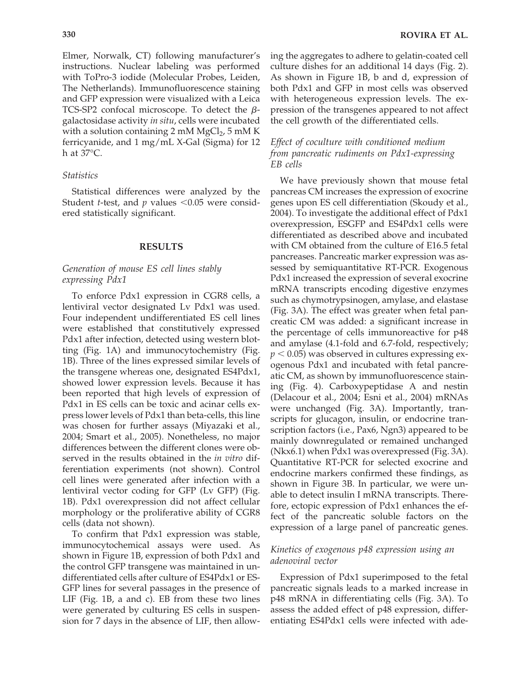Elmer, Norwalk, CT) following manufacturer's instructions. Nuclear labeling was performed with ToPro-3 iodide (Molecular Probes, Leiden, The Netherlands). Immunofluorescence staining and GFP expression were visualized with a Leica TCS-SP2 confocal microscope. To detect the  $\beta$ galactosidase activity *in situ*, cells were incubated with a solution containing 2 mM  $MgCl<sub>2</sub>$ , 5 mM K ferricyanide, and 1 mg/mL X-Gal (Sigma) for 12 h at 37°C.

## *Statistics*

Statistical differences were analyzed by the Student *t*-test, and  $p$  values  $\leq 0.05$  were considered statistically significant.

#### **RESULTS**

# *Generation of mouse ES cell lines stably expressing Pdx1*

To enforce Pdx1 expression in CGR8 cells, a lentiviral vector designated Lv Pdx1 was used. Four independent undifferentiated ES cell lines were established that constitutively expressed Pdx1 after infection, detected using western blotting (Fig. 1A) and immunocytochemistry (Fig. 1B). Three of the lines expressed similar levels of the transgene whereas one, designated ES4Pdx1, showed lower expression levels. Because it has been reported that high levels of expression of Pdx1 in ES cells can be toxic and acinar cells express lower levels of Pdx1 than beta-cells, this line was chosen for further assays (Miyazaki et al., 2004; Smart et al., 2005). Nonetheless, no major differences between the different clones were observed in the results obtained in the *in vitro* differentiation experiments (not shown). Control cell lines were generated after infection with a lentiviral vector coding for GFP (Lv GFP) (Fig. 1B). Pdx1 overexpression did not affect cellular morphology or the proliferative ability of CGR8 cells (data not shown).

To confirm that Pdx1 expression was stable, immunocytochemical assays were used. As shown in Figure 1B, expression of both Pdx1 and the control GFP transgene was maintained in undifferentiated cells after culture of ES4Pdx1 or ES-GFP lines for several passages in the presence of LIF (Fig. 1B, a and c). EB from these two lines were generated by culturing ES cells in suspension for 7 days in the absence of LIF, then allowing the aggregates to adhere to gelatin-coated cell culture dishes for an additional 14 days (Fig. 2). As shown in Figure 1B, b and d, expression of both Pdx1 and GFP in most cells was observed with heterogeneous expression levels. The expression of the transgenes appeared to not affect the cell growth of the differentiated cells.

# *Effect of coculture with conditioned medium from pancreatic rudiments on Pdx1-expressing EB cells*

We have previously shown that mouse fetal pancreas CM increases the expression of exocrine genes upon ES cell differentiation (Skoudy et al., 2004). To investigate the additional effect of Pdx1 overexpression, ESGFP and ES4Pdx1 cells were differentiated as described above and incubated with CM obtained from the culture of E16.5 fetal pancreases. Pancreatic marker expression was assessed by semiquantitative RT-PCR. Exogenous Pdx1 increased the expression of several exocrine mRNA transcripts encoding digestive enzymes such as chymotrypsinogen, amylase, and elastase (Fig. 3A). The effect was greater when fetal pancreatic CM was added: a significant increase in the percentage of cells immunoreactive for p48 and amylase (4.1-fold and 6.7-fold, respectively;  $p < 0.05$ ) was observed in cultures expressing exogenous Pdx1 and incubated with fetal pancreatic CM, as shown by immunofluorescence staining (Fig. 4). Carboxypeptidase A and nestin (Delacour et al., 2004; Esni et al., 2004) mRNAs were unchanged (Fig. 3A). Importantly, transcripts for glucagon, insulin, or endocrine transcription factors (i.e., Pax6, Ngn3) appeared to be mainly downregulated or remained unchanged (Nkx6.1) when Pdx1 was overexpressed (Fig. 3A). Quantitative RT-PCR for selected exocrine and endocrine markers confirmed these findings, as shown in Figure 3B. In particular, we were unable to detect insulin I mRNA transcripts. Therefore, ectopic expression of Pdx1 enhances the effect of the pancreatic soluble factors on the expression of a large panel of pancreatic genes.

## *Kinetics of exogenous p48 expression using an adenoviral vector*

Expression of Pdx1 superimposed to the fetal pancreatic signals leads to a marked increase in p48 mRNA in differentiating cells (Fig. 3A). To assess the added effect of p48 expression, differentiating ES4Pdx1 cells were infected with ade-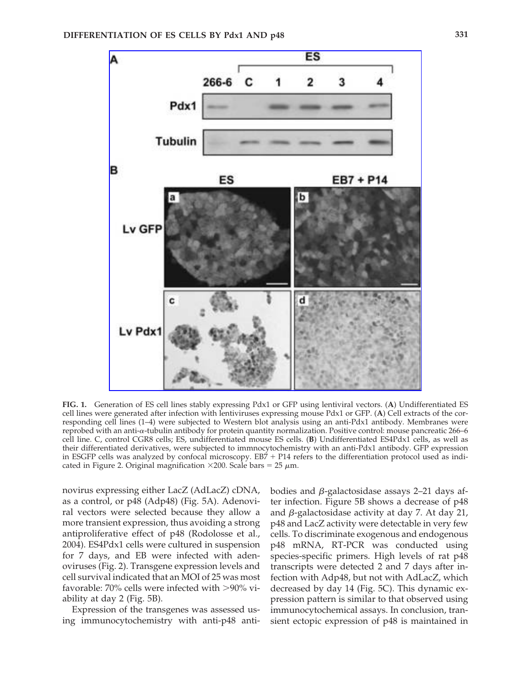

**FIG. 1.** Generation of ES cell lines stably expressing Pdx1 or GFP using lentiviral vectors. (**A**) Undifferentiated ES cell lines were generated after infection with lentiviruses expressing mouse Pdx1 or GFP. (**A**) Cell extracts of the corresponding cell lines (1–4) were subjected to Western blot analysis using an anti-Pdx1 antibody. Membranes were reprobed with an anti- $\alpha$ -tubulin antibody for protein quantity normalization. Positive control: mouse pancreatic 266–6 cell line. C, control CGR8 cells; ES, undifferentiated mouse ES cells. (**B**) Undifferentiated ES4Pdx1 cells, as well as their differentiated derivatives, were subjected to immnocytochemistry with an anti-Pdx1 antibody. GFP expression in ESGFP cells was analyzed by confocal microscopy.  $EB7 + P14$  refers to the differentiation protocol used as indicated in Figure 2. Original magnification  $\times$ 200. Scale bars = 25  $\mu$ m.

novirus expressing either LacZ (AdLacZ) cDNA, as a control, or p48 (Adp48) (Fig. 5A). Adenoviral vectors were selected because they allow a more transient expression, thus avoiding a strong antiproliferative effect of p48 (Rodolosse et al., 2004). ES4Pdx1 cells were cultured in suspension for 7 days, and EB were infected with adenoviruses (Fig. 2). Transgene expression levels and cell survival indicated that an MOI of 25 was most favorable:  $70\%$  cells were infected with  $>90\%$  viability at day 2 (Fig. 5B).

Expression of the transgenes was assessed using immunocytochemistry with anti-p48 anti-

bodies and *β*-galactosidase assays 2–21 days after infection. Figure 5B shows a decrease of p48 and β-galactosidase activity at day 7. At day 21, p48 and LacZ activity were detectable in very few cells. To discriminate exogenous and endogenous p48 mRNA, RT-PCR was conducted using species-specific primers. High levels of rat p48 transcripts were detected 2 and 7 days after infection with Adp48, but not with AdLacZ, which decreased by day 14 (Fig. 5C). This dynamic expression pattern is similar to that observed using immunocytochemical assays. In conclusion, transient ectopic expression of p48 is maintained in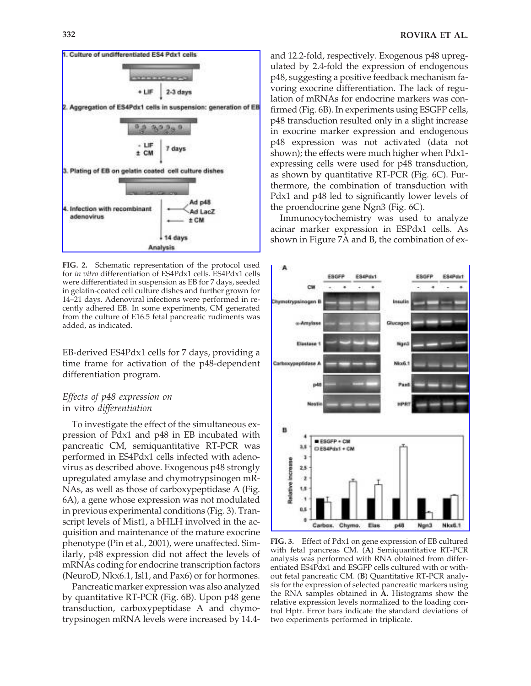

**FIG. 2.** Schematic representation of the protocol used for *in vitro* differentiation of ES4Pdx1 cells. ES4Pdx1 cells were differentiated in suspension as EB for 7 days, seeded in gelatin-coated cell culture dishes and further grown for 14–21 days. Adenoviral infections were performed in recently adhered EB. In some experiments, CM generated from the culture of E16.5 fetal pancreatic rudiments was added, as indicated.

EB-derived ES4Pdx1 cells for 7 days, providing a time frame for activation of the p48-dependent differentiation program.

# *Effects of p48 expression on*  in vitro *differentiation*

To investigate the effect of the simultaneous expression of Pdx1 and p48 in EB incubated with pancreatic CM, semiquantitative RT-PCR was performed in ES4Pdx1 cells infected with adenovirus as described above. Exogenous p48 strongly upregulated amylase and chymotrypsinogen mR-NAs, as well as those of carboxypeptidase A (Fig. 6A), a gene whose expression was not modulated in previous experimental conditions (Fig. 3). Transcript levels of Mist1, a bHLH involved in the acquisition and maintenance of the mature exocrine phenotype (Pin et al., 2001), were unaffected. Similarly, p48 expression did not affect the levels of mRNAs coding for endocrine transcription factors (NeuroD, Nkx6.1, Isl1, and Pax6) or for hormones.

Pancreatic marker expression was also analyzed by quantitative RT-PCR (Fig. 6B). Upon p48 gene transduction, carboxypeptidase A and chymotrypsinogen mRNA levels were increased by 14.4and 12.2-fold, respectively. Exogenous p48 upregulated by 2.4-fold the expression of endogenous p48, suggesting a positive feedback mechanism favoring exocrine differentiation. The lack of regulation of mRNAs for endocrine markers was confirmed (Fig. 6B). In experiments using ESGFP cells, p48 transduction resulted only in a slight increase in exocrine marker expression and endogenous p48 expression was not activated (data not shown); the effects were much higher when Pdx1 expressing cells were used for p48 transduction, as shown by quantitative RT-PCR (Fig. 6C). Furthermore, the combination of transduction with Pdx1 and p48 led to significantly lower levels of the proendocrine gene Ngn3 (Fig. 6C).

Immunocytochemistry was used to analyze acinar marker expression in ESPdx1 cells. As shown in Figure 7A and B, the combination of ex-



**FIG. 3.** Effect of Pdx1 on gene expression of EB cultured with fetal pancreas CM. (**A**) Semiquantitative RT-PCR analysis was performed with RNA obtained from differentiated ES4Pdx1 and ESGFP cells cultured with or without fetal pancreatic CM. (**B**) Quantitative RT-PCR analysis for the expression of selected pancreatic markers using the RNA samples obtained in **A.** Histograms show the relative expression levels normalized to the loading control Hptr. Error bars indicate the standard deviations of two experiments performed in triplicate.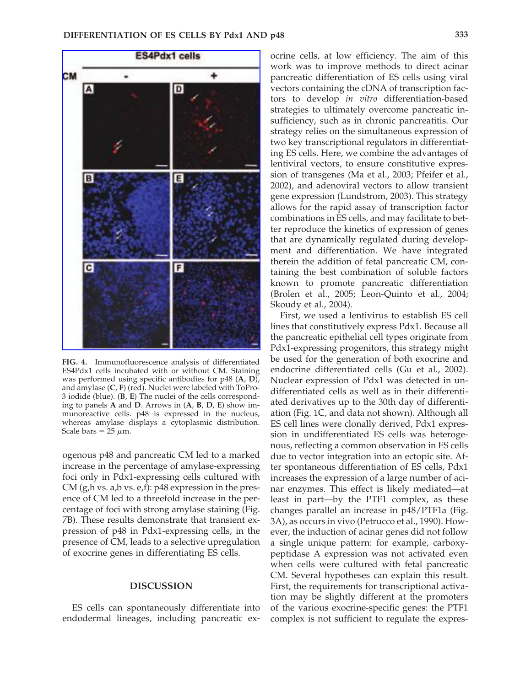

**FIG. 4.** Immunofluorescence analysis of differentiated ES4Pdx1 cells incubated with or without CM. Staining was performed using specific antibodies for p48 (**A**, **D**), and amylase (**C**, **F**) (red). Nuclei were labeled with ToPro-3 iodide (blue). (**B**, **E**) The nuclei of the cells corresponding to panels **A** and **D**. Arrows in (**A**, **B**, **D**, **E**) show immunoreactive cells. p48 is expressed in the nucleus, whereas amylase displays a cytoplasmic distribution. Scale bars  $= 25 \mu m$ .

ogenous p48 and pancreatic CM led to a marked increase in the percentage of amylase-expressing foci only in Pdx1-expressing cells cultured with CM (g,h vs. a,b vs. e,f): p48 expression in the presence of CM led to a threefold increase in the percentage of foci with strong amylase staining (Fig. 7B). These results demonstrate that transient expression of p48 in Pdx1-expressing cells, in the presence of CM, leads to a selective upregulation of exocrine genes in differentiating ES cells.

## **DISCUSSION**

ES cells can spontaneously differentiate into endodermal lineages, including pancreatic ex-

ocrine cells, at low efficiency. The aim of this work was to improve methods to direct acinar pancreatic differentiation of ES cells using viral vectors containing the cDNA of transcription factors to develop *in vitro* differentiation-based strategies to ultimately overcome pancreatic insufficiency, such as in chronic pancreatitis. Our strategy relies on the simultaneous expression of two key transcriptional regulators in differentiating ES cells. Here, we combine the advantages of lentiviral vectors, to ensure constitutive expression of transgenes (Ma et al., 2003; Pfeifer et al., 2002), and adenoviral vectors to allow transient gene expression (Lundstrom, 2003). This strategy allows for the rapid assay of transcription factor combinations in ES cells, and may facilitate to better reproduce the kinetics of expression of genes that are dynamically regulated during development and differentiation. We have integrated therein the addition of fetal pancreatic CM, containing the best combination of soluble factors known to promote pancreatic differentiation (Brolen et al., 2005; Leon-Quinto et al., 2004; Skoudy et al., 2004).

First, we used a lentivirus to establish ES cell lines that constitutively express Pdx1. Because all the pancreatic epithelial cell types originate from Pdx1-expressing progenitors, this strategy might be used for the generation of both exocrine and endocrine differentiated cells (Gu et al., 2002). Nuclear expression of Pdx1 was detected in undifferentiated cells as well as in their differentiated derivatives up to the 30th day of differentiation (Fig. 1C, and data not shown). Although all ES cell lines were clonally derived, Pdx1 expression in undifferentiated ES cells was heterogenous, reflecting a common observation in ES cells due to vector integration into an ectopic site. After spontaneous differentiation of ES cells, Pdx1 increases the expression of a large number of acinar enzymes. This effect is likely mediated—at least in part—by the PTF1 complex, as these changes parallel an increase in p48/PTF1a (Fig. 3A), as occurs in vivo (Petrucco et al., 1990). However, the induction of acinar genes did not follow a single unique pattern: for example, carboxypeptidase A expression was not activated even when cells were cultured with fetal pancreatic CM. Several hypotheses can explain this result. First, the requirements for transcriptional activation may be slightly different at the promoters of the various exocrine-specific genes: the PTF1 complex is not sufficient to regulate the expres-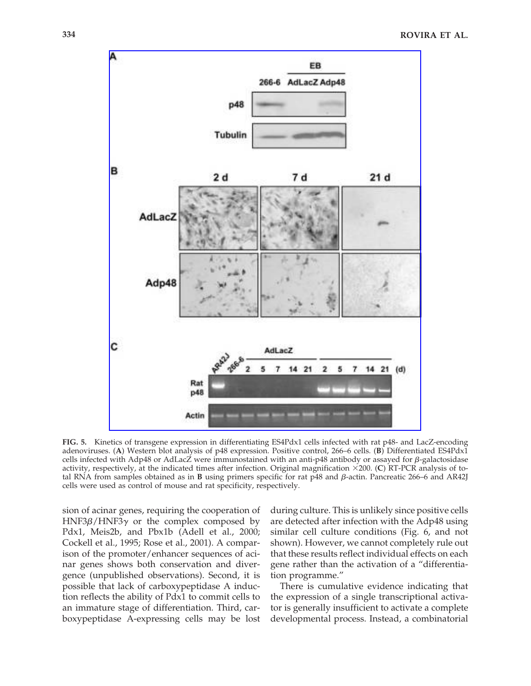

**FIG. 5.** Kinetics of transgene expression in differentiating ES4Pdx1 cells infected with rat p48- and LacZ-encoding adenoviruses. (**A**) Western blot analysis of p48 expression. Positive control, 266–6 cells. (**B**) Differentiated ES4Pdx1 cells infected with Adp48 or AdLacZ were immunostained with an anti-p48 antibody or assayed for  $\beta$ -galactosidase activity, respectively, at the indicated times after infection. Original magnification ×200. (C) RT-PCR analysis of total RNA from samples obtained as in **B** using primers specific for rat p48 and β-actin. Pancreatic 266–6 and AR42J cells were used as control of mouse and rat specificity, respectively.

sion of acinar genes, requiring the cooperation of HNF3β/HNF3γ or the complex composed by Pdx1, Meis2b, and Pbx1b (Adell et al., 2000; Cockell et al., 1995; Rose et al., 2001). A comparison of the promoter/enhancer sequences of acinar genes shows both conservation and divergence (unpublished observations). Second, it is possible that lack of carboxypeptidase A induction reflects the ability of Pdx1 to commit cells to an immature stage of differentiation. Third, carboxypeptidase A-expressing cells may be lost

during culture. This is unlikely since positive cells are detected after infection with the Adp48 using similar cell culture conditions (Fig. 6, and not shown). However, we cannot completely rule out that these results reflect individual effects on each gene rather than the activation of a "differentiation programme."

There is cumulative evidence indicating that the expression of a single transcriptional activator is generally insufficient to activate a complete developmental process. Instead, a combinatorial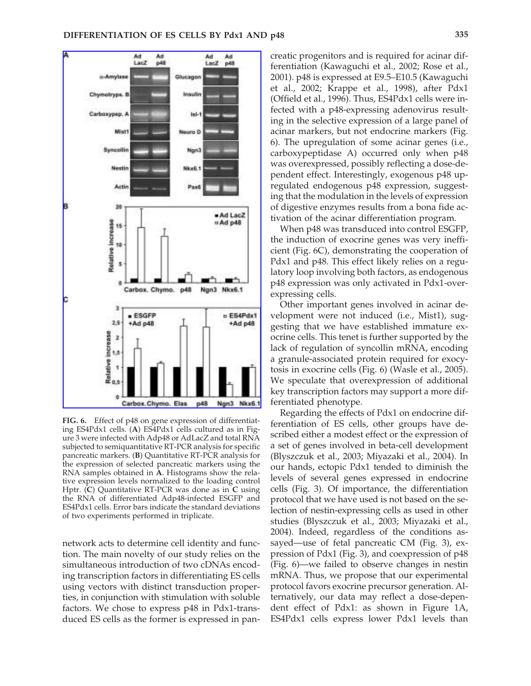

**FIG. 6.** Effect of p48 on gene expression of differentiating ES4Pdx1 cells. (**A**) ES4Pdx1 cells cultured as in Figure 3 were infected with Adp48 or AdLacZ and total RNA subjected to semiquantitative RT-PCR analysis for specific pancreatic markers. (**B**) Quantitative RT-PCR analysis for the expression of selected pancreatic markers using the RNA samples obtained in **A**. Histograms show the relative expression levels normalized to the loading control Hptr. (**C**) Quantitative RT-PCR was done as in **C** using the RNA of differentiated Adp48-infected ESGFP and ES4Pdx1 cells. Error bars indicate the standard deviations of two experiments performed in triplicate.

network acts to determine cell identity and function. The main novelty of our study relies on the simultaneous introduction of two cDNAs encoding transcription factors in differentiating ES cells using vectors with distinct transduction properties, in conjunction with stimulation with soluble factors. We chose to express p48 in Pdx1-transduced ES cells as the former is expressed in pan-

creatic progenitors and is required for acinar differentiation (Kawaguchi et al., 2002; Rose et al., 2001). p48 is expressed at E9.5–E10.5 (Kawaguchi et al., 2002; Krappe et al., 1998), after Pdx1 (Offield et al., 1996). Thus, ES4Pdx1 cells were infected with a p48-expressing adenovirus resulting in the selective expression of a large panel of acinar markers, but not endocrine markers (Fig. 6). The upregulation of some acinar genes (i.e., carboxypeptidase A) occurred only when p48 was overexpressed, possibly reflecting a dose-dependent effect. Interestingly, exogenous p48 upregulated endogenous p48 expression, suggesting that the modulation in the levels of expression of digestive enzymes results from a bona fide activation of the acinar differentiation program.

When  $p48$  was transduced into control ESGFP, the induction of exocrine genes was very inefficient (Fig. 6C), demonstrating the cooperation of Pdx1 and p48. This effect likely relies on a regulatory loop involving both factors, as endogenous p48 expression was only activated in Pdx1-overexpressing cells.

Other important genes involved in acinar development were not induced (i.e., Mist1), suggesting that we have established immature exocrine cells. This tenet is further supported by the lack of regulation of syncollin mRNA, encoding a granule-associated protein required for exocytosis in exocrine cells (Fig. 6) (Wasle et al., 2005). We speculate that overexpression of additional key transcription factors may support a more differentiated phenotype.

Regarding the effects of Pdx1 on endocrine differentiation of ES cells, other groups have described either a modest effect or the expression of a set of genes involved in beta-cell development (Blyszczuk et al., 2003; Miyazaki et al., 2004). In our hands, ectopic Pdx1 tended to diminish the levels of several genes expressed in endocrine cells (Fig. 3). Of importance, the differentiation protocol that we have used is not based on the selection of nestin-expressing cells as used in other studies (Blyszczuk et al., 2003; Miyazaki et al., 2004). Indeed, regardless of the conditions assayed—use of fetal pancreatic CM (Fig. 3), expression of Pdx1 (Fig. 3), and coexpression of p48 (Fig. 6)—we failed to observe changes in nestin mRNA. Thus, we propose that our experimental protocol favors exocrine precursor generation. Alternatively, our data may reflect a dose-dependent effect of Pdx1: as shown in Figure 1A, ES4Pdx1 cells express lower Pdx1 levels than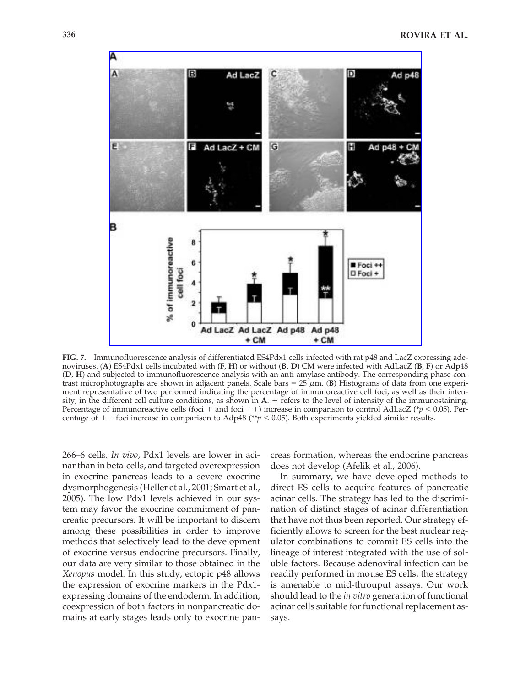

**FIG. 7.** Immunofluorescence analysis of differentiated ES4Pdx1 cells infected with rat p48 and LacZ expressing adenoviruses. (**A**) ES4Pdx1 cells incubated with (**F**, **H**) or without (**B**, **D**) CM were infected with AdLacZ (**B**, **F**) or Adp48 (**D**, **H**) and subjected to immunofluorescence analysis with an anti-amylase antibody. The corresponding phase-contrast microphotographs are shown in adjacent panels. Scale bars =  $25 \mu m$ . (B) Histograms of data from one experiment representative of two performed indicating the percentage of immunoreactive cell foci, as well as their intensity, in the different cell culture conditions, as shown in **A**. + refers to the level of intensity of the immunostaining. Percentage of immunoreactive cells (foci + and foci + +) increase in comparison to control AdLacZ ( $\gamma$  < 0.05). Percentage of  $+$  foci increase in comparison to Adp48 (\*\**p* < 0.05). Both experiments yielded similar results.

266–6 cells. *In vivo*, Pdx1 levels are lower in acinar than in beta-cells, and targeted overexpression in exocrine pancreas leads to a severe exocrine dysmorphogenesis (Heller et al., 2001; Smart et al., 2005). The low Pdx1 levels achieved in our system may favor the exocrine commitment of pancreatic precursors. It will be important to discern among these possibilities in order to improve methods that selectively lead to the development of exocrine versus endocrine precursors. Finally, our data are very similar to those obtained in the *Xenopus* model. In this study, ectopic p48 allows the expression of exocrine markers in the Pdx1 expressing domains of the endoderm. In addition, coexpression of both factors in nonpancreatic domains at early stages leads only to exocrine pancreas formation, whereas the endocrine pancreas does not develop (Afelik et al., 2006).

In summary, we have developed methods to direct ES cells to acquire features of pancreatic acinar cells. The strategy has led to the discrimination of distinct stages of acinar differentiation that have not thus been reported. Our strategy efficiently allows to screen for the best nuclear regulator combinations to commit ES cells into the lineage of interest integrated with the use of soluble factors. Because adenoviral infection can be readily performed in mouse ES cells, the strategy is amenable to mid-throuput assays. Our work should lead to the *in vitro* generation of functional acinar cells suitable for functional replacement assays.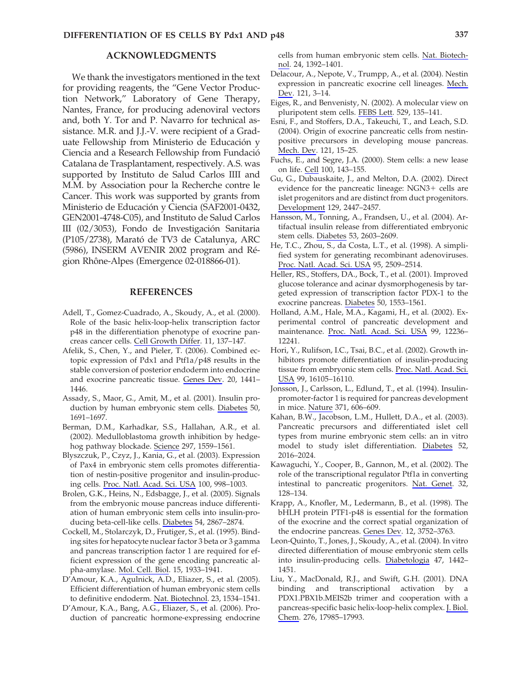## **ACKNOWLEDGMENTS**

We thank the investigators mentioned in the text for providing reagents, the "Gene Vector Production Network," Laboratory of Gene Therapy, Nantes, France, for producing adenoviral vectors and, both Y. Tor and P. Navarro for technical assistance. M.R. and J.J.-V. were recipient of a Graduate Fellowship from Ministerio de Educación y Ciencia and a Research Fellowship from Fundació Catalana de Trasplantament, respectively. A.S. was supported by Instituto de Salud Carlos IIII and M.M. by Association pour la Recherche contre le Cancer. This work was supported by grants from Ministerio de Educación y Ciencia (SAF2001-0432, GEN2001-4748-C05), and Instituto de Salud Carlos III (02/3053), Fondo de Investigación Sanitaria (P105/2738), Marató de TV3 de Catalunya, ARC (5986), INSERM AVENIR 2002 program and Région Rhône-Alpes (Emergence 02-018866-01).

#### **REFERENCES**

- Adell, T., Gomez-Cuadrado, A., Skoudy, A., et al. (2000). Role of the basic helix-loop-helix transcription factor p48 in the differentiation phenotype of exocrine pancreas cancer cells. Cell Growth Differ. 11, 137–147.
- Afelik, S., Chen, Y., and Pieler, T. (2006). Combined ectopic expression of Pdx1 and Ptf1a/p48 results in the stable conversion of posterior endoderm into endocrine and exocrine pancreatic tissue. Genes Dev. 20, 1441– 1446.
- Assady, S., Maor, G., Amit, M., et al. (2001). Insulin production by human embryonic stem cells. Diabetes 50, 1691–1697.
- Berman, D.M., Karhadkar, S.S., Hallahan, A.R., et al. (2002). Medulloblastoma growth inhibition by hedgehog pathway blockade. Science 297, 1559–1561.
- Blyszczuk, P., Czyz, J., Kania, G., et al. (2003). Expression of Pax4 in embryonic stem cells promotes differentiation of nestin-positive progenitor and insulin-producing cells. Proc. Natl. Acad. Sci. USA 100, 998–1003.
- Brolen, G.K., Heins, N., Edsbagge, J., et al. (2005). Signals from the embryonic mouse pancreas induce differentiation of human embryonic stem cells into insulin-producing beta-cell-like cells. Diabetes 54, 2867–2874.
- Cockell, M., Stolarczyk, D., Frutiger, S., et al. (1995). Binding sites for hepatocyte nuclear factor 3 beta or 3 gamma and pancreas transcription factor 1 are required for efficient expression of the gene encoding pancreatic alpha-amylase. Mol. Cell. Biol. 15, 1933–1941.
- D'Amour, K.A., Agulnick, A.D., Eliazer, S., et al. (2005). Efficient differentiation of human embryonic stem cells to definitive endoderm. Nat. Biotechnol. 23, 1534–1541.
- D'Amour, K.A., Bang, A.G., Eliazer, S., et al. (2006). Production of pancreatic hormone-expressing endocrine

cells from human embryonic stem cells. Nat. Biotechnol. 24, 1392–1401.

- Delacour, A., Nepote, V., Trumpp, A., et al. (2004). Nestin expression in pancreatic exocrine cell lineages. Mech. Dev. 121, 3–14.
- Eiges, R., and Benvenisty, N. (2002). A molecular view on pluripotent stem cells. FEBS Lett. 529, 135–141.
- Esni, F., and Stoffers, D.A., Takeuchi, T., and Leach, S.D. (2004). Origin of exocrine pancreatic cells from nestinpositive precursors in developing mouse pancreas. Mech. Dev. 121, 15–25.
- Fuchs, E., and Segre, J.A. (2000). Stem cells: a new lease on life. Cell 100, 143–155.
- Gu, G., Dubauskaite, J., and Melton, D.A. (2002). Direct evidence for the pancreatic lineage:  $NGN3+$  cells are islet progenitors and are distinct from duct progenitors. Development 129, 2447–2457.
- Hansson, M., Tonning, A., Frandsen, U., et al. (2004). Artifactual insulin release from differentiated embryonic stem cells. Diabetes 53, 2603–2609.
- He, T.C., Zhou, S., da Costa, L.T., et al. (1998). A simplified system for generating recombinant adenoviruses. Proc. Natl. Acad. Sci. USA 95, 2509–2514.
- Heller, RS., Stoffers, DA., Bock, T., et al. (2001). Improved glucose tolerance and acinar dysmorphogenesis by targeted expression of transcription factor PDX-1 to the exocrine pancreas. Diabetes 50, 1553–1561.
- Holland, A.M., Hale, M.A., Kagami, H., et al. (2002). Experimental control of pancreatic development and maintenance. Proc. Natl. Acad. Sci. USA 99, 12236– 12241.
- Hori, Y., Rulifson, I.C., Tsai, B.C., et al. (2002). Growth inhibitors promote differentiation of insulin-producing tissue from embryonic stem cells. Proc. Natl. Acad. Sci. USA 99, 16105–16110.
- Jonsson, J., Carlsson, L., Edlund, T., et al. (1994). Insulinpromoter-factor 1 is required for pancreas development in mice. Nature 371, 606–609.
- Kahan, B.W., Jacobson, L.M., Hullett, D.A., et al. (2003). Pancreatic precursors and differentiated islet cell types from murine embryonic stem cells: an in vitro model to study islet differentiation. Diabetes 52, 2016–2024.
- Kawaguchi, Y., Cooper, B., Gannon, M., et al. (2002). The role of the transcriptional regulator Ptf1a in converting intestinal to pancreatic progenitors. Nat. Genet. 32, 128–134.
- Krapp, A., Knofler, M., Ledermann, B., et al. (1998). The bHLH protein PTF1-p48 is essential for the formation of the exocrine and the correct spatial organization of the endocrine pancreas. Genes Dev. 12, 3752–3763.
- Leon-Quinto, T., Jones, J., Skoudy, A., et al. (2004). In vitro directed differentiation of mouse embryonic stem cells into insulin-producing cells. Diabetologia 47, 1442– 1451.
- Liu, Y., MacDonald, R.J., and Swift, G.H. (2001). DNA binding and transcriptional activation by a PDX1.PBX1b.MEIS2b trimer and cooperation with a pancreas-specific basic helix-loop-helix complex. J. Biol. Chem. 276, 17985–17993.